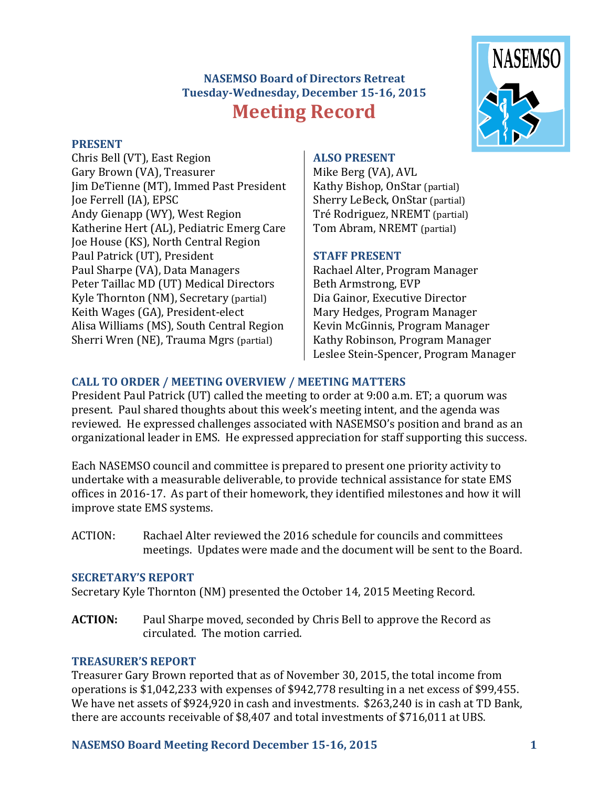# **NASEMSO Board of Directors Retreat Tuesday-Wednesday, December 15-16, 2015 Meeting Record**

#### **PRESENT**

Chris Bell (VT), East Region Gary Brown (VA), Treasurer Jim DeTienne (MT), Immed Past President Joe Ferrell (IA), EPSC Andy Gienapp (WY), West Region Katherine Hert (AL), Pediatric Emerg Care Joe House (KS), North Central Region Paul Patrick (UT), President Paul Sharpe (VA), Data Managers Peter Taillac MD (UT) Medical Directors Kyle Thornton (NM), Secretary (partial) Keith Wages (GA), President-elect Alisa Williams (MS), South Central Region Sherri Wren (NE), Trauma Mgrs (partial)

#### **ALSO PRESENT**

Mike Berg (VA), AVL Kathy Bishop, OnStar (partial) Sherry LeBeck, OnStar (partial) Tré Rodriguez, NREMT (partial) Tom Abram, NREMT (partial)

#### **STAFF PRESENT**

Rachael Alter, Program Manager Beth Armstrong, EVP Dia Gainor, Executive Director Mary Hedges, Program Manager Kevin McGinnis, Program Manager Kathy Robinson, Program Manager Leslee Stein-Spencer, Program Manager

# **CALL TO ORDER / MEETING OVERVIEW / MEETING MATTERS**

President Paul Patrick (UT) called the meeting to order at 9:00 a.m. ET; a quorum was present. Paul shared thoughts about this week's meeting intent, and the agenda was reviewed. He expressed challenges associated with NASEMSO's position and brand as an organizational leader in EMS. He expressed appreciation for staff supporting this success.

Each NASEMSO council and committee is prepared to present one priority activity to undertake with a measurable deliverable, to provide technical assistance for state EMS offices in 2016-17. As part of their homework, they identified milestones and how it will improve state EMS systems.

ACTION: Rachael Alter reviewed the 2016 schedule for councils and committees meetings. Updates were made and the document will be sent to the Board.

#### **SECRETARY'S REPORT**

Secretary Kyle Thornton (NM) presented the October 14, 2015 Meeting Record.

**ACTION:** Paul Sharpe moved, seconded by Chris Bell to approve the Record as circulated. The motion carried.

## **TREASURER'S REPORT**

Treasurer Gary Brown reported that as of November 30, 2015, the total income from operations is \$1,042,233 with expenses of \$942,778 resulting in a net excess of \$99,455. We have net assets of \$924,920 in cash and investments. \$263,240 is in cash at TD Bank, there are accounts receivable of \$8,407 and total investments of \$716,011 at UBS.

## **NASEMSO Board Meeting Record December 15-16, 2015 1**

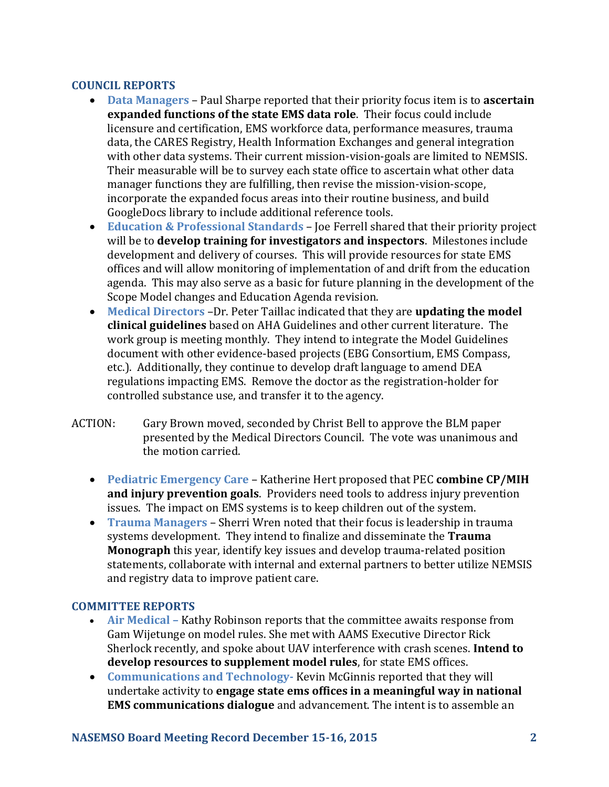# **COUNCIL REPORTS**

- **Data Managers** Paul Sharpe reported that their priority focus item is to **ascertain expanded functions of the state EMS data role**. Their focus could include licensure and certification, EMS workforce data, performance measures, trauma data, the CARES Registry, Health Information Exchanges and general integration with other data systems. Their current mission-vision-goals are limited to NEMSIS. Their measurable will be to survey each state office to ascertain what other data manager functions they are fulfilling, then revise the mission-vision-scope, incorporate the expanded focus areas into their routine business, and build GoogleDocs library to include additional reference tools.
- **Education & Professional Standards** Joe Ferrell shared that their priority project will be to **develop training for investigators and inspectors**. Milestones include development and delivery of courses. This will provide resources for state EMS offices and will allow monitoring of implementation of and drift from the education agenda. This may also serve as a basic for future planning in the development of the Scope Model changes and Education Agenda revision.
- **Medical Directors** –Dr. Peter Taillac indicated that they are **updating the model clinical guidelines** based on AHA Guidelines and other current literature. The work group is meeting monthly. They intend to integrate the Model Guidelines document with other evidence-based projects (EBG Consortium, EMS Compass, etc.). Additionally, they continue to develop draft language to amend DEA regulations impacting EMS. Remove the doctor as the registration-holder for controlled substance use, and transfer it to the agency.
- ACTION: Gary Brown moved, seconded by Christ Bell to approve the BLM paper presented by the Medical Directors Council. The vote was unanimous and the motion carried.
	- **Pediatric Emergency Care** Katherine Hert proposed that PEC **combine CP/MIH and injury prevention goals**. Providers need tools to address injury prevention issues. The impact on EMS systems is to keep children out of the system.
	- **Trauma Managers** Sherri Wren noted that their focus is leadership in trauma systems development. They intend to finalize and disseminate the **Trauma Monograph** this year, identify key issues and develop trauma-related position statements, collaborate with internal and external partners to better utilize NEMSIS and registry data to improve patient care.

## **COMMITTEE REPORTS**

- **Air Medical –** Kathy Robinson reports that the committee awaits response from Gam Wijetunge on model rules. She met with AAMS Executive Director Rick Sherlock recently, and spoke about UAV interference with crash scenes. **Intend to develop resources to supplement model rules**, for state EMS offices.
- **Communications and Technology-** Kevin McGinnis reported that they will undertake activity to **engage state ems offices in a meaningful way in national EMS communications dialogue** and advancement. The intent is to assemble an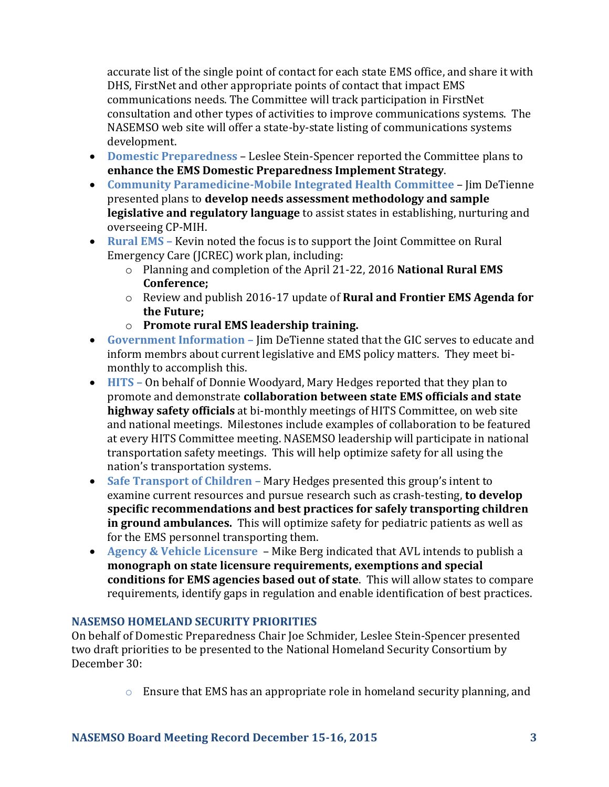accurate list of the single point of contact for each state EMS office, and share it with DHS, FirstNet and other appropriate points of contact that impact EMS communications needs. The Committee will track participation in FirstNet consultation and other types of activities to improve communications systems. The NASEMSO web site will offer a state-by-state listing of communications systems development.

- **Domestic Preparedness** Leslee Stein-Spencer reported the Committee plans to **enhance the EMS Domestic Preparedness Implement Strategy**.
- **Community Paramedicine-Mobile Integrated Health Committee** Jim DeTienne presented plans to **develop needs assessment methodology and sample legislative and regulatory language** to assist states in establishing, nurturing and overseeing CP-MIH.
- **Rural EMS –** Kevin noted the focus is to support the Joint Committee on Rural Emergency Care (JCREC) work plan, including:
	- o Planning and completion of the April 21-22, 2016 **National Rural EMS Conference;**
	- o Review and publish 2016-17 update of **Rural and Frontier EMS Agenda for the Future;**
	- o **Promote rural EMS leadership training.**
- **Government Information –** Jim DeTienne stated that the GIC serves to educate and inform membrs about current legislative and EMS policy matters. They meet bimonthly to accomplish this.
- **HITS –** On behalf of Donnie Woodyard, Mary Hedges reported that they plan to promote and demonstrate **collaboration between state EMS officials and state highway safety officials** at bi-monthly meetings of HITS Committee, on web site and national meetings. Milestones include examples of collaboration to be featured at every HITS Committee meeting. NASEMSO leadership will participate in national transportation safety meetings. This will help optimize safety for all using the nation's transportation systems.
- Safe Transport of Children Mary Hedges presented this group's intent to examine current resources and pursue research such as crash-testing, **to develop specific recommendations and best practices for safely transporting children in ground ambulances.** This will optimize safety for pediatric patients as well as for the EMS personnel transporting them.
- **Agency & Vehicle Licensure**  Mike Berg indicated that AVL intends to publish a **monograph on state licensure requirements, exemptions and special conditions for EMS agencies based out of state**. This will allow states to compare requirements, identify gaps in regulation and enable identification of best practices.

## **NASEMSO HOMELAND SECURITY PRIORITIES**

On behalf of Domestic Preparedness Chair Joe Schmider, Leslee Stein-Spencer presented two draft priorities to be presented to the National Homeland Security Consortium by December 30:

 $\circ$  Ensure that EMS has an appropriate role in homeland security planning, and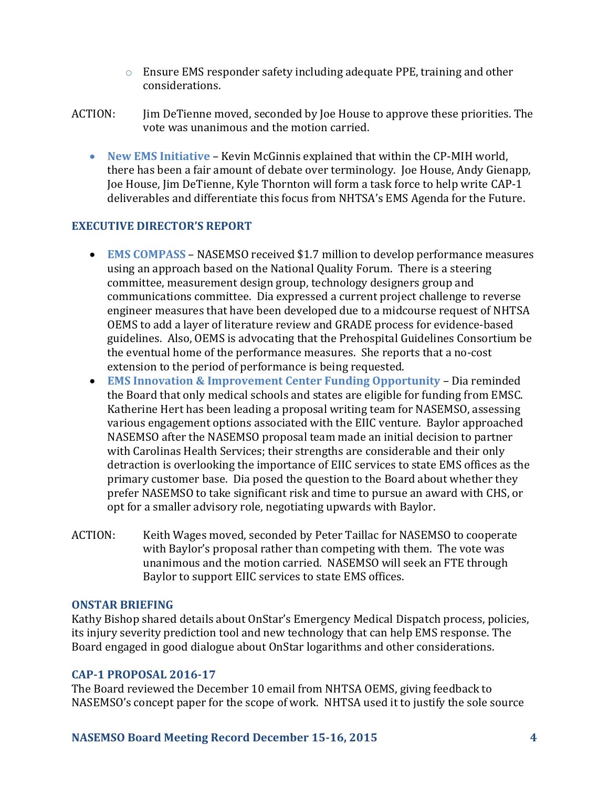- o Ensure EMS responder safety including adequate PPE, training and other considerations.
- ACTION: Jim DeTienne moved, seconded by Joe House to approve these priorities. The vote was unanimous and the motion carried.
	- **New EMS Initiative**  Kevin McGinnis explained that within the CP-MIH world, there has been a fair amount of debate over terminology. Joe House, Andy Gienapp, Joe House, Jim DeTienne, Kyle Thornton will form a task force to help write CAP-1 deliverables and differentiate this focus from NHTSA's EMS Agenda for the Future.

# **EXECUTIVE DIRECTOR'S REPORT**

- **EMS COMPASS** NASEMSO received \$1.7 million to develop performance measures using an approach based on the National Quality Forum. There is a steering committee, measurement design group, technology designers group and communications committee. Dia expressed a current project challenge to reverse engineer measures that have been developed due to a midcourse request of NHTSA OEMS to add a layer of literature review and GRADE process for evidence-based guidelines. Also, OEMS is advocating that the Prehospital Guidelines Consortium be the eventual home of the performance measures. She reports that a no-cost extension to the period of performance is being requested.
- **EMS Innovation & Improvement Center Funding Opportunity**  Dia reminded the Board that only medical schools and states are eligible for funding from EMSC. Katherine Hert has been leading a proposal writing team for NASEMSO, assessing various engagement options associated with the EIIC venture. Baylor approached NASEMSO after the NASEMSO proposal team made an initial decision to partner with Carolinas Health Services; their strengths are considerable and their only detraction is overlooking the importance of EIIC services to state EMS offices as the primary customer base. Dia posed the question to the Board about whether they prefer NASEMSO to take significant risk and time to pursue an award with CHS, or opt for a smaller advisory role, negotiating upwards with Baylor.
- ACTION: Keith Wages moved, seconded by Peter Taillac for NASEMSO to cooperate with Baylor's proposal rather than competing with them. The vote was unanimous and the motion carried. NASEMSO will seek an FTE through Baylor to support EIIC services to state EMS offices.

#### **ONSTAR BRIEFING**

Kathy Bishop shared details about OnStar's Emergency Medical Dispatch process, policies, its injury severity prediction tool and new technology that can help EMS response. The Board engaged in good dialogue about OnStar logarithms and other considerations.

#### **CAP-1 PROPOSAL 2016-17**

The Board reviewed the December 10 email from NHTSA OEMS, giving feedback to NASEMSO's concept paper for the scope of work. NHTSA used it to justify the sole source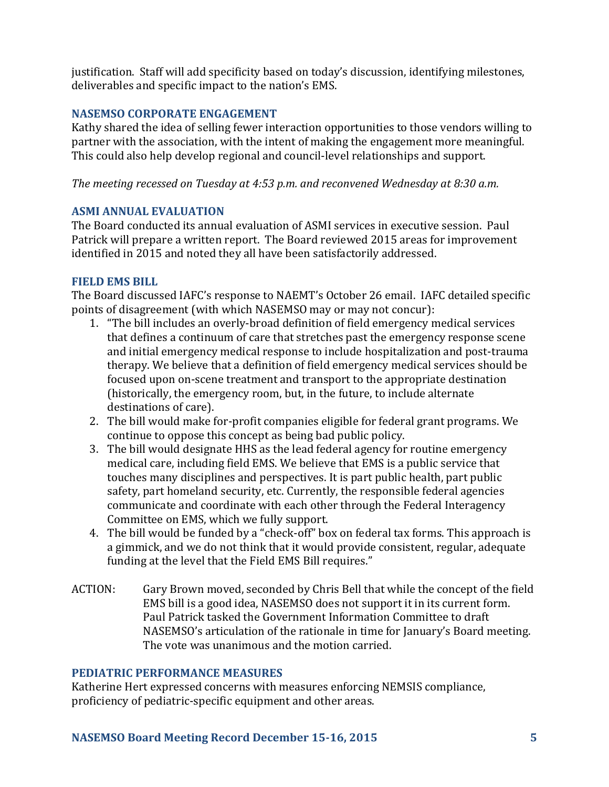justification. Staff will add specificity based on today's discussion, identifying milestones, deliverables and specific impact to the nation's EMS.

## **NASEMSO CORPORATE ENGAGEMENT**

Kathy shared the idea of selling fewer interaction opportunities to those vendors willing to partner with the association, with the intent of making the engagement more meaningful. This could also help develop regional and council-level relationships and support.

*The meeting recessed on Tuesday at 4:53 p.m. and reconvened Wednesday at 8:30 a.m.*

## **ASMI ANNUAL EVALUATION**

The Board conducted its annual evaluation of ASMI services in executive session. Paul Patrick will prepare a written report. The Board reviewed 2015 areas for improvement identified in 2015 and noted they all have been satisfactorily addressed.

# **FIELD EMS BILL**

The Board discussed IAFC's response to NAEMT's October 26 email. IAFC detailed specific points of disagreement (with which NASEMSO may or may not concur):

- 1. "The bill includes an overly-broad definition of field emergency medical services that defines a continuum of care that stretches past the emergency response scene and initial emergency medical response to include hospitalization and post-trauma therapy. We believe that a definition of field emergency medical services should be focused upon on-scene treatment and transport to the appropriate destination (historically, the emergency room, but, in the future, to include alternate destinations of care).
- 2. The bill would make for-profit companies eligible for federal grant programs. We continue to oppose this concept as being bad public policy.
- 3. The bill would designate HHS as the lead federal agency for routine emergency medical care, including field EMS. We believe that EMS is a public service that touches many disciplines and perspectives. It is part public health, part public safety, part homeland security, etc. Currently, the responsible federal agencies communicate and coordinate with each other through the Federal Interagency Committee on EMS, which we fully support.
- 4. The bill would be funded by a "check-off" box on federal tax forms. This approach is a gimmick, and we do not think that it would provide consistent, regular, adequate funding at the level that the Field EMS Bill requires."
- ACTION: Gary Brown moved, seconded by Chris Bell that while the concept of the field EMS bill is a good idea, NASEMSO does not support it in its current form. Paul Patrick tasked the Government Information Committee to draft NASEMSO's articulation of the rationale in time for January's Board meeting. The vote was unanimous and the motion carried.

## **PEDIATRIC PERFORMANCE MEASURES**

Katherine Hert expressed concerns with measures enforcing NEMSIS compliance, proficiency of pediatric-specific equipment and other areas.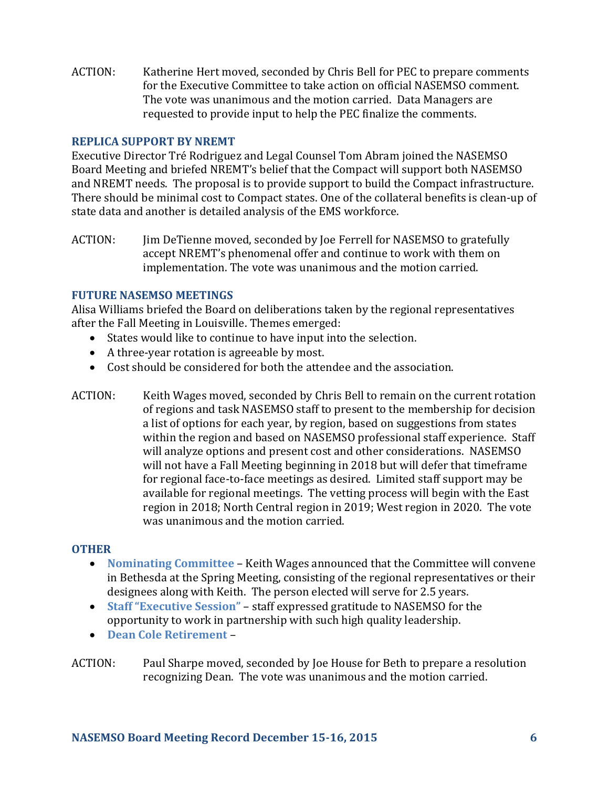ACTION: Katherine Hert moved, seconded by Chris Bell for PEC to prepare comments for the Executive Committee to take action on official NASEMSO comment. The vote was unanimous and the motion carried. Data Managers are requested to provide input to help the PEC finalize the comments.

## **REPLICA SUPPORT BY NREMT**

Executive Director Tré Rodriguez and Legal Counsel Tom Abram joined the NASEMSO Board Meeting and briefed NREMT's belief that the Compact will support both NASEMSO and NREMT needs. The proposal is to provide support to build the Compact infrastructure. There should be minimal cost to Compact states. One of the collateral benefits is clean-up of state data and another is detailed analysis of the EMS workforce.

ACTION: Jim DeTienne moved, seconded by Joe Ferrell for NASEMSO to gratefully accept NREMT's phenomenal offer and continue to work with them on implementation. The vote was unanimous and the motion carried.

## **FUTURE NASEMSO MEETINGS**

Alisa Williams briefed the Board on deliberations taken by the regional representatives after the Fall Meeting in Louisville. Themes emerged:

- States would like to continue to have input into the selection.
- A three-year rotation is agreeable by most.
- Cost should be considered for both the attendee and the association.
- ACTION: Keith Wages moved, seconded by Chris Bell to remain on the current rotation of regions and task NASEMSO staff to present to the membership for decision a list of options for each year, by region, based on suggestions from states within the region and based on NASEMSO professional staff experience. Staff will analyze options and present cost and other considerations. NASEMSO will not have a Fall Meeting beginning in 2018 but will defer that timeframe for regional face-to-face meetings as desired. Limited staff support may be available for regional meetings. The vetting process will begin with the East region in 2018; North Central region in 2019; West region in 2020. The vote was unanimous and the motion carried.

## **OTHER**

- **Nominating Committee**  Keith Wages announced that the Committee will convene in Bethesda at the Spring Meeting, consisting of the regional representatives or their designees along with Keith. The person elected will serve for 2.5 years.
- **Staff "Executive Session"**  staff expressed gratitude to NASEMSO for the opportunity to work in partnership with such high quality leadership.
- **Dean Cole Retirement** –
- ACTION: Paul Sharpe moved, seconded by Joe House for Beth to prepare a resolution recognizing Dean. The vote was unanimous and the motion carried.